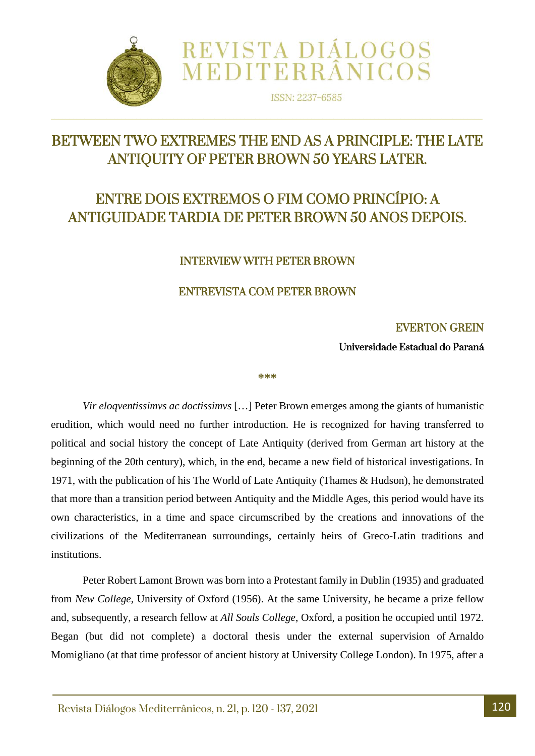

ISSN: 2237-6585

REVISTA DIÁLOGOS<br>MEDITERRÂNICOS

# BETWEEN TWO EXTREMES THE END AS A PRINCIPLE: THE LATE ANTIQUITY OF PETER BROWN 50 YEARS LATER.

 $\Box$ 

# ENTRE DOIS EXTREMOS O FIM COMO PRINCÍPIO: A ANTIGUIDADE TARDIA DE PETER BROWN 50 ANOS DEPOIS.

#### INTERVIEW WITH PETER BROWN

#### ENTREVISTA COM PETER BROWN

#### EVERTON GREIN

Universidade Estadual do Paraná

#### **\*\*\***

*Vir eloqventissimvs ac doctissimvs* […] Peter Brown emerges among the giants of humanistic erudition, which would need no further introduction. He is recognized for having transferred to political and social history the concept of Late Antiquity (derived from German art history at the beginning of the 20th century), which, in the end, became a new field of historical investigations. In 1971, with the publication of his The World of Late Antiquity (Thames & Hudson), he demonstrated that more than a transition period between Antiquity and the Middle Ages, this period would have its own characteristics, in a time and space circumscribed by the creations and innovations of the civilizations of the Mediterranean surroundings, certainly heirs of Greco-Latin traditions and institutions.

Peter Robert Lamont Brown was born into a Protestant family in Dublin (1935) and graduated from *New College*, University of Oxford (1956). At the same University, he became a prize fellow and, subsequently, a research fellow at *All Souls College*, Oxford, a position he occupied until 1972. Began (but did not complete) a doctoral thesis under the external supervision of Arnaldo Momigliano (at that time professor of ancient history at University College London). In 1975, after a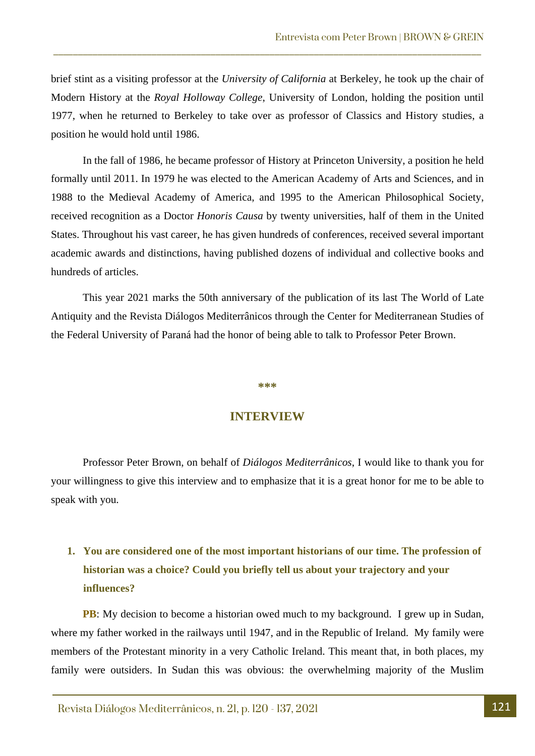brief stint as a visiting professor at the *University of California* at Berkeley, he took up the chair of Modern History at the *Royal Holloway College*, University of London, holding the position until 1977, when he returned to Berkeley to take over as professor of Classics and History studies, a position he would hold until 1986.

\_\_\_\_\_\_\_\_\_\_\_\_\_\_\_\_\_\_\_\_\_\_\_\_\_\_\_\_\_\_\_\_\_\_\_\_\_\_\_\_\_\_\_\_\_\_\_\_\_\_\_\_\_\_\_\_\_\_\_\_\_\_\_\_\_\_\_\_\_\_\_\_\_\_\_\_\_\_\_\_\_\_\_\_\_\_\_

In the fall of 1986, he became professor of History at Princeton University, a position he held formally until 2011. In 1979 he was elected to the American Academy of Arts and Sciences, and in 1988 to the Medieval Academy of America, and 1995 to the American Philosophical Society, received recognition as a Doctor *Honoris Causa* by twenty universities, half of them in the United States. Throughout his vast career, he has given hundreds of conferences, received several important academic awards and distinctions, having published dozens of individual and collective books and hundreds of articles.

This year 2021 marks the 50th anniversary of the publication of its last The World of Late Antiquity and the Revista Diálogos Mediterrânicos through the Center for Mediterranean Studies of the Federal University of Paraná had the honor of being able to talk to Professor Peter Brown.

#### **\*\*\***

#### **INTERVIEW**

Professor Peter Brown, on behalf of *Diálogos Mediterrânicos*, I would like to thank you for your willingness to give this interview and to emphasize that it is a great honor for me to be able to speak with you.

### **1. You are considered one of the most important historians of our time. The profession of historian was a choice? Could you briefly tell us about your trajectory and your influences?**

**PB**: My decision to become a historian owed much to my background. I grew up in Sudan, where my father worked in the railways until 1947, and in the Republic of Ireland. My family were members of the Protestant minority in a very Catholic Ireland. This meant that, in both places, my family were outsiders. In Sudan this was obvious: the overwhelming majority of the Muslim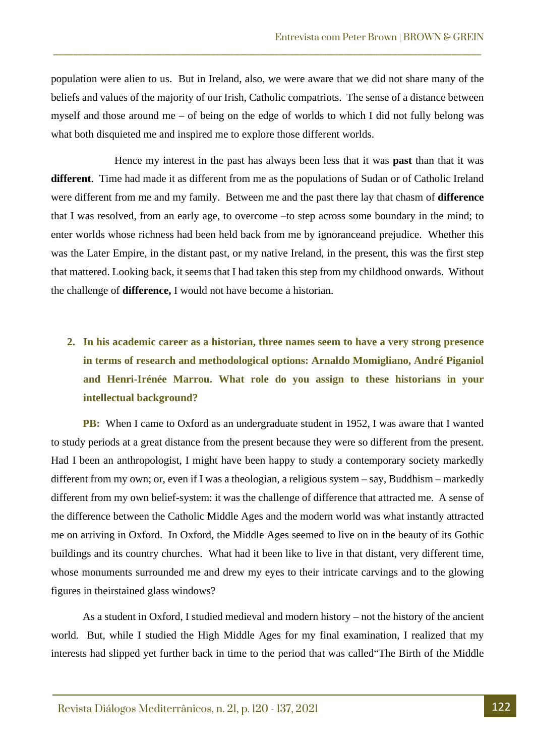population were alien to us. But in Ireland, also, we were aware that we did not share many of the beliefs and values of the majority of our Irish, Catholic compatriots. The sense of a distance between myself and those around me – of being on the edge of worlds to which I did not fully belong was what both disquieted me and inspired me to explore those different worlds.

\_\_\_\_\_\_\_\_\_\_\_\_\_\_\_\_\_\_\_\_\_\_\_\_\_\_\_\_\_\_\_\_\_\_\_\_\_\_\_\_\_\_\_\_\_\_\_\_\_\_\_\_\_\_\_\_\_\_\_\_\_\_\_\_\_\_\_\_\_\_\_\_\_\_\_\_\_\_\_\_\_\_\_\_\_\_\_

Hence my interest in the past has always been less that it was **past** than that it was **different**. Time had made it as different from me as the populations of Sudan or of Catholic Ireland were different from me and my family. Between me and the past there lay that chasm of **difference**  that I was resolved, from an early age, to overcome –to step across some boundary in the mind; to enter worlds whose richness had been held back from me by ignoranceand prejudice. Whether this was the Later Empire, in the distant past, or my native Ireland, in the present, this was the first step that mattered. Looking back, it seems that I had taken this step from my childhood onwards. Without the challenge of **difference,** I would not have become a historian.

## **2. In his academic career as a historian, three names seem to have a very strong presence in terms of research and methodological options: Arnaldo Momigliano, André Piganiol and Henri-Irénée Marrou. What role do you assign to these historians in your intellectual background?**

**PB:** When I came to Oxford as an undergraduate student in 1952, I was aware that I wanted to study periods at a great distance from the present because they were so different from the present. Had I been an anthropologist, I might have been happy to study a contemporary society markedly different from my own; or, even if I was a theologian, a religious system – say, Buddhism – markedly different from my own belief-system: it was the challenge of difference that attracted me. A sense of the difference between the Catholic Middle Ages and the modern world was what instantly attracted me on arriving in Oxford. In Oxford, the Middle Ages seemed to live on in the beauty of its Gothic buildings and its country churches. What had it been like to live in that distant, very different time, whose monuments surrounded me and drew my eyes to their intricate carvings and to the glowing figures in theirstained glass windows?

As a student in Oxford, I studied medieval and modern history – not the history of the ancient world. But, while I studied the High Middle Ages for my final examination, I realized that my interests had slipped yet further back in time to the period that was called"The Birth of the Middle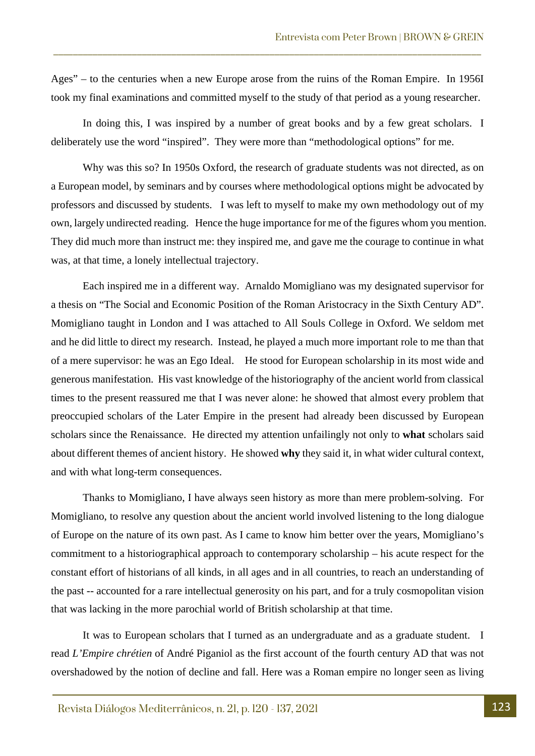Ages" – to the centuries when a new Europe arose from the ruins of the Roman Empire. In 1956I took my final examinations and committed myself to the study of that period as a young researcher.

\_\_\_\_\_\_\_\_\_\_\_\_\_\_\_\_\_\_\_\_\_\_\_\_\_\_\_\_\_\_\_\_\_\_\_\_\_\_\_\_\_\_\_\_\_\_\_\_\_\_\_\_\_\_\_\_\_\_\_\_\_\_\_\_\_\_\_\_\_\_\_\_\_\_\_\_\_\_\_\_\_\_\_\_\_\_\_

In doing this, I was inspired by a number of great books and by a few great scholars. I deliberately use the word "inspired". They were more than "methodological options" for me.

Why was this so? In 1950s Oxford, the research of graduate students was not directed, as on a European model, by seminars and by courses where methodological options might be advocated by professors and discussed by students. I was left to myself to make my own methodology out of my own, largely undirected reading. Hence the huge importance for me of the figures whom you mention. They did much more than instruct me: they inspired me, and gave me the courage to continue in what was, at that time, a lonely intellectual trajectory.

Each inspired me in a different way. Arnaldo Momigliano was my designated supervisor for a thesis on "The Social and Economic Position of the Roman Aristocracy in the Sixth Century AD". Momigliano taught in London and I was attached to All Souls College in Oxford. We seldom met and he did little to direct my research. Instead, he played a much more important role to me than that of a mere supervisor: he was an Ego Ideal. He stood for European scholarship in its most wide and generous manifestation. His vast knowledge of the historiography of the ancient world from classical times to the present reassured me that I was never alone: he showed that almost every problem that preoccupied scholars of the Later Empire in the present had already been discussed by European scholars since the Renaissance. He directed my attention unfailingly not only to **what** scholars said about different themes of ancient history. He showed **why** they said it, in what wider cultural context, and with what long-term consequences.

Thanks to Momigliano, I have always seen history as more than mere problem-solving. For Momigliano, to resolve any question about the ancient world involved listening to the long dialogue of Europe on the nature of its own past. As I came to know him better over the years, Momigliano's commitment to a historiographical approach to contemporary scholarship – his acute respect for the constant effort of historians of all kinds, in all ages and in all countries, to reach an understanding of the past -- accounted for a rare intellectual generosity on his part, and for a truly cosmopolitan vision that was lacking in the more parochial world of British scholarship at that time.

It was to European scholars that I turned as an undergraduate and as a graduate student. I read *L'Empire chrétien* of André Piganiol as the first account of the fourth century AD that was not overshadowed by the notion of decline and fall. Here was a Roman empire no longer seen as living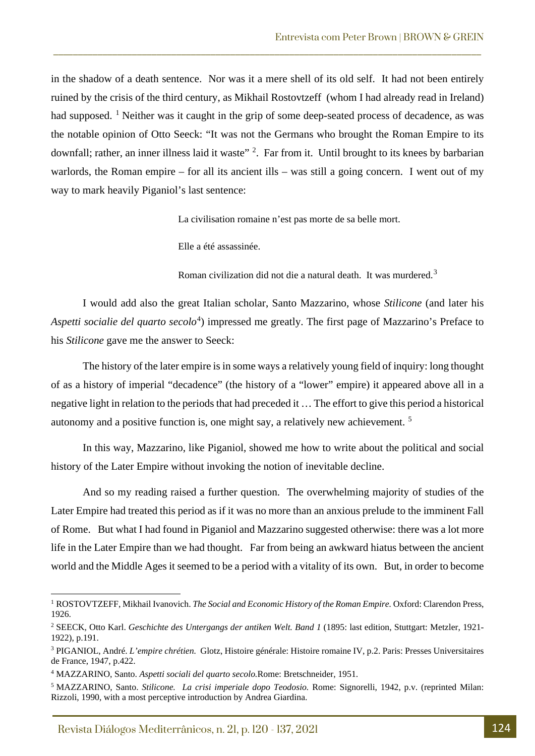in the shadow of a death sentence. Nor was it a mere shell of its old self. It had not been entirely ruined by the crisis of the third century, as Mikhail Rostovtzeff (whom I had already read in Ireland) had supposed. <sup>[1](#page-4-0)</sup> Neither was it caught in the grip of some deep-seated process of decadence, as was the notable opinion of Otto Seeck: "It was not the Germans who brought the Roman Empire to its downfall; rather, an inner illness laid it waste<sup>" [2](#page-4-1)</sup>. Far from it. Until brought to its knees by barbarian warlords, the Roman empire – for all its ancient ills – was still a going concern. I went out of my way to mark heavily Piganiol's last sentence:

\_\_\_\_\_\_\_\_\_\_\_\_\_\_\_\_\_\_\_\_\_\_\_\_\_\_\_\_\_\_\_\_\_\_\_\_\_\_\_\_\_\_\_\_\_\_\_\_\_\_\_\_\_\_\_\_\_\_\_\_\_\_\_\_\_\_\_\_\_\_\_\_\_\_\_\_\_\_\_\_\_\_\_\_\_\_\_

La civilisation romaine n'est pas morte de sa belle mort.

Elle a été assassinée.

Roman civilization did not die a natural death. It was murdered.<sup>[3](#page-4-2)</sup>

I would add also the great Italian scholar, Santo Mazzarino, whose *Stilicone* (and later his Aspetti socialie del quarto secolo<sup>[4](#page-4-3)</sup>) impressed me greatly. The first page of Mazzarino's Preface to his *Stilicone* gave me the answer to Seeck:

The history of the later empire is in some ways a relatively young field of inquiry: long thought of as a history of imperial "decadence" (the history of a "lower" empire) it appeared above all in a negative light in relation to the periods that had preceded it … The effort to give this period a historical autonomy and a positive function is, one might say, a relatively new achievement. [5](#page-4-4)

In this way, Mazzarino, like Piganiol, showed me how to write about the political and social history of the Later Empire without invoking the notion of inevitable decline.

And so my reading raised a further question. The overwhelming majority of studies of the Later Empire had treated this period as if it was no more than an anxious prelude to the imminent Fall of Rome. But what I had found in Piganiol and Mazzarino suggested otherwise: there was a lot more life in the Later Empire than we had thought. Far from being an awkward hiatus between the ancient world and the Middle Ages it seemed to be a period with a vitality of its own. But, in order to become

<span id="page-4-0"></span><sup>&</sup>lt;sup>1</sup> ROSTOVTZEFF, Mikhail Ivanovich. *The Social and Economic History of the Roman Empire*. Oxford: Clarendon Press, 1926.

<span id="page-4-1"></span><sup>2</sup> SEECK, Otto Karl. *Geschichte des Untergangs der antiken Welt. Band 1* (1895: last edition, Stuttgart: Metzler, 1921- 1922), p.191.

<span id="page-4-2"></span><sup>3</sup> PIGANIOL, André. *L'empire chrétien.* Glotz, Histoire générale: Histoire romaine IV, p.2. Paris: Presses Universitaires de France, 1947, p.422.

<span id="page-4-3"></span><sup>4</sup> MAZZARINO, Santo. *Aspetti sociali del quarto secolo.*Rome: Bretschneider, 1951.

<span id="page-4-4"></span><sup>5</sup> MAZZARINO, Santo. *Stilicone. La crisi imperiale dopo Teodosio.* Rome: Signorelli, 1942, p.v. (reprinted Milan: Rizzoli, 1990, with a most perceptive introduction by Andrea Giardina.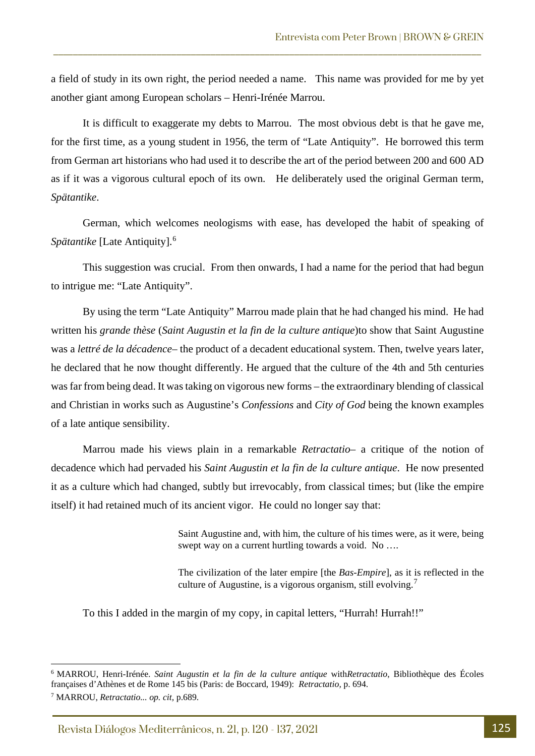a field of study in its own right, the period needed a name. This name was provided for me by yet another giant among European scholars – Henri-Irénée Marrou.

\_\_\_\_\_\_\_\_\_\_\_\_\_\_\_\_\_\_\_\_\_\_\_\_\_\_\_\_\_\_\_\_\_\_\_\_\_\_\_\_\_\_\_\_\_\_\_\_\_\_\_\_\_\_\_\_\_\_\_\_\_\_\_\_\_\_\_\_\_\_\_\_\_\_\_\_\_\_\_\_\_\_\_\_\_\_\_

It is difficult to exaggerate my debts to Marrou. The most obvious debt is that he gave me, for the first time, as a young student in 1956, the term of "Late Antiquity". He borrowed this term from German art historians who had used it to describe the art of the period between 200 and 600 AD as if it was a vigorous cultural epoch of its own. He deliberately used the original German term, *Spätantike*.

German, which welcomes neologisms with ease, has developed the habit of speaking of *Spätantike* [Late Antiquity].[6](#page-5-0)

This suggestion was crucial. From then onwards, I had a name for the period that had begun to intrigue me: "Late Antiquity".

By using the term "Late Antiquity" Marrou made plain that he had changed his mind. He had written his *grande thèse* (*Saint Augustin et la fin de la culture antique*)to show that Saint Augustine was a *lettré de la décadence*– the product of a decadent educational system. Then, twelve years later, he declared that he now thought differently. He argued that the culture of the 4th and 5th centuries was far from being dead. It was taking on vigorous new forms – the extraordinary blending of classical and Christian in works such as Augustine's *Confessions* and *City of God* being the known examples of a late antique sensibility.

Marrou made his views plain in a remarkable *Retractatio*– a critique of the notion of decadence which had pervaded his *Saint Augustin et la fin de la culture antique*. He now presented it as a culture which had changed, subtly but irrevocably, from classical times; but (like the empire itself) it had retained much of its ancient vigor. He could no longer say that:

> Saint Augustine and, with him, the culture of his times were, as it were, being swept way on a current hurtling towards a void. No ....

> The civilization of the later empire [the *Bas-Empire*], as it is reflected in the culture of Augustine, is a vigorous organism, still evolving.<sup>[7](#page-5-1)</sup>

To this I added in the margin of my copy, in capital letters, "Hurrah! Hurrah!!"

<span id="page-5-1"></span><span id="page-5-0"></span><sup>6</sup> MARROU, Henri-Irénée. *Saint Augustin et la fin de la culture antique* with*Retractatio*, Bibliothèque des Écoles françaises d'Athènes et de Rome 145 bis (Paris: de Boccard, 1949): *Retractatio,* p. 694. <sup>7</sup> MARROU, *Retractatio... op. cit,* p.689.

Revista Diálogos Mediterrânicos, n. 21, p. 120 - 137, 2021 125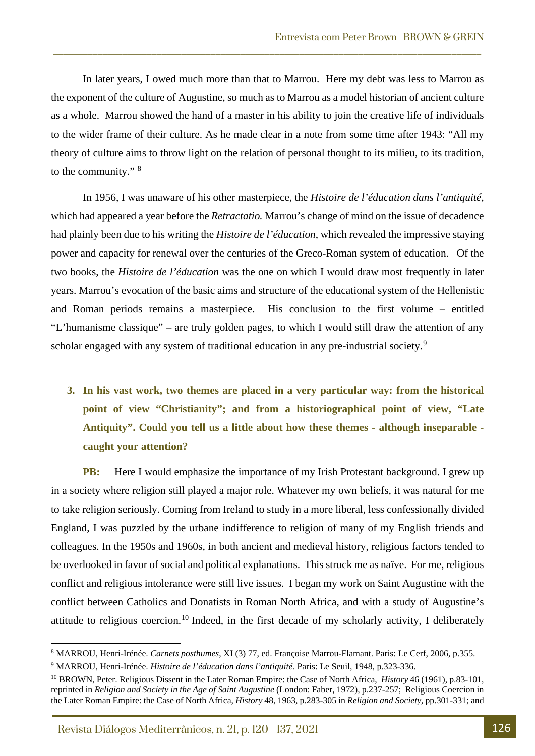In later years, I owed much more than that to Marrou. Here my debt was less to Marrou as the exponent of the culture of Augustine, so much as to Marrou as a model historian of ancient culture as a whole. Marrou showed the hand of a master in his ability to join the creative life of individuals to the wider frame of their culture. As he made clear in a note from some time after 1943: "All my theory of culture aims to throw light on the relation of personal thought to its milieu, to its tradition, to the community." [8](#page-6-0)

\_\_\_\_\_\_\_\_\_\_\_\_\_\_\_\_\_\_\_\_\_\_\_\_\_\_\_\_\_\_\_\_\_\_\_\_\_\_\_\_\_\_\_\_\_\_\_\_\_\_\_\_\_\_\_\_\_\_\_\_\_\_\_\_\_\_\_\_\_\_\_\_\_\_\_\_\_\_\_\_\_\_\_\_\_\_\_

In 1956, I was unaware of his other masterpiece, the *Histoire de l'éducation dans l'antiquité,*  which had appeared a year before the *Retractatio.* Marrou's change of mind on the issue of decadence had plainly been due to his writing the *Histoire de l'éducation*, which revealed the impressive staying power and capacity for renewal over the centuries of the Greco-Roman system of education. Of the two books, the *Histoire de l'éducation* was the one on which I would draw most frequently in later years. Marrou's evocation of the basic aims and structure of the educational system of the Hellenistic and Roman periods remains a masterpiece. His conclusion to the first volume – entitled "L'humanisme classique" – are truly golden pages, to which I would still draw the attention of any scholar engaged with any system of traditional education in any pre-industrial society.<sup>[9](#page-6-1)</sup>

**3. In his vast work, two themes are placed in a very particular way: from the historical point of view "Christianity"; and from a historiographical point of view, "Late Antiquity". Could you tell us a little about how these themes - although inseparable caught your attention?**

**PB:** Here I would emphasize the importance of my Irish Protestant background. I grew up in a society where religion still played a major role. Whatever my own beliefs, it was natural for me to take religion seriously. Coming from Ireland to study in a more liberal, less confessionally divided England, I was puzzled by the urbane indifference to religion of many of my English friends and colleagues. In the 1950s and 1960s, in both ancient and medieval history, religious factors tended to be overlooked in favor of social and political explanations. This struck me as naïve. For me, religious conflict and religious intolerance were still live issues. I began my work on Saint Augustine with the conflict between Catholics and Donatists in Roman North Africa, and with a study of Augustine's attitude to religious coercion.<sup>[10](#page-6-2)</sup> Indeed, in the first decade of my scholarly activity, I deliberately

<span id="page-6-1"></span><span id="page-6-0"></span><sup>8</sup> MARROU, Henri-Irénée. *Carnets posthumes*, XI (3) 77, ed. Françoise Marrou-Flamant. Paris: Le Cerf, 2006, p.355. <sup>9</sup> MARROU, Henri-Irénée. *Histoire de l'éducation dans l'antiquité.* Paris: Le Seuil, 1948, p.323-336.

<span id="page-6-2"></span><sup>10</sup> BROWN, Peter. Religious Dissent in the Later Roman Empire: the Case of North Africa, *History* 46 (1961), p.83-101, reprinted in *Religion and Society in the Age of Saint Augustine* (London: Faber, 1972), p.237-257; Religious Coercion in the Later Roman Empire: the Case of North Africa, *History* 48, 1963, p.283-305 in *Religion and Society,* pp.301-331; and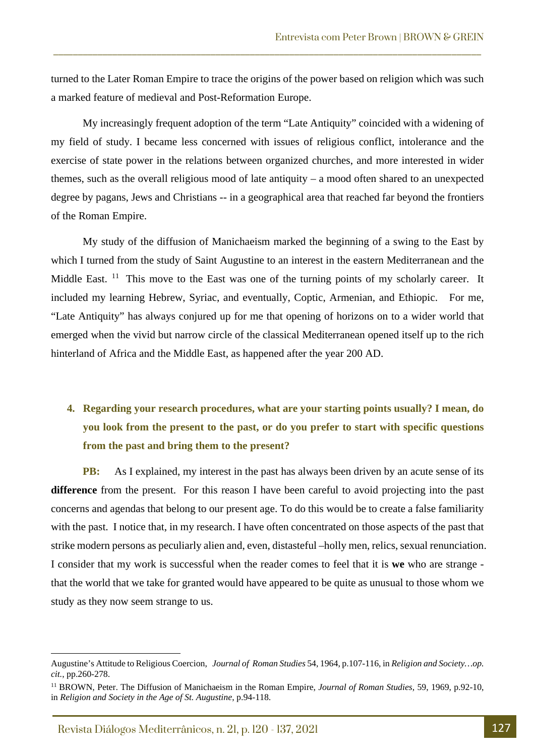turned to the Later Roman Empire to trace the origins of the power based on religion which was such a marked feature of medieval and Post-Reformation Europe.

\_\_\_\_\_\_\_\_\_\_\_\_\_\_\_\_\_\_\_\_\_\_\_\_\_\_\_\_\_\_\_\_\_\_\_\_\_\_\_\_\_\_\_\_\_\_\_\_\_\_\_\_\_\_\_\_\_\_\_\_\_\_\_\_\_\_\_\_\_\_\_\_\_\_\_\_\_\_\_\_\_\_\_\_\_\_\_

My increasingly frequent adoption of the term "Late Antiquity" coincided with a widening of my field of study. I became less concerned with issues of religious conflict, intolerance and the exercise of state power in the relations between organized churches, and more interested in wider themes, such as the overall religious mood of late antiquity – a mood often shared to an unexpected degree by pagans, Jews and Christians -- in a geographical area that reached far beyond the frontiers of the Roman Empire.

My study of the diffusion of Manichaeism marked the beginning of a swing to the East by which I turned from the study of Saint Augustine to an interest in the eastern Mediterranean and the Middle East. <sup>11</sup> This move to the East was one of the turning points of my scholarly career. It included my learning Hebrew, Syriac, and eventually, Coptic, Armenian, and Ethiopic. For me, "Late Antiquity" has always conjured up for me that opening of horizons on to a wider world that emerged when the vivid but narrow circle of the classical Mediterranean opened itself up to the rich hinterland of Africa and the Middle East, as happened after the year 200 AD.

### **4. Regarding your research procedures, what are your starting points usually? I mean, do you look from the present to the past, or do you prefer to start with specific questions from the past and bring them to the present?**

**PB:** As I explained, my interest in the past has always been driven by an acute sense of its **difference** from the present. For this reason I have been careful to avoid projecting into the past concerns and agendas that belong to our present age. To do this would be to create a false familiarity with the past. I notice that, in my research. I have often concentrated on those aspects of the past that strike modern persons as peculiarly alien and, even, distasteful –holly men, relics, sexual renunciation. I consider that my work is successful when the reader comes to feel that it is **we** who are strange that the world that we take for granted would have appeared to be quite as unusual to those whom we study as they now seem strange to us.

Augustine's Attitude to Religious Coercion, *Journal of Roman Studies* 54, 1964, p.107-116, in *Religion and Society…op. cit.*, pp.260-278.

<span id="page-7-0"></span><sup>11</sup> BROWN, Peter. The Diffusion of Manichaeism in the Roman Empire, *Journal of Roman Studies,* 59, 1969, p.92-10, in *Religion and Society in the Age of St. Augustine*, p.94-118.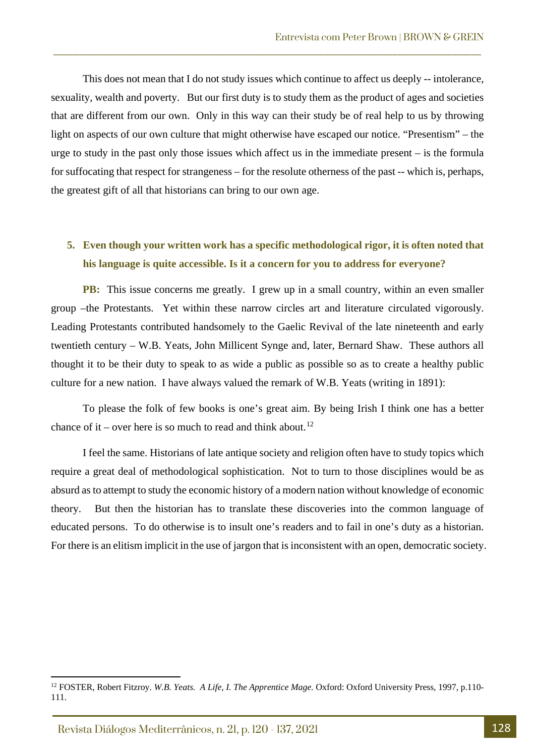This does not mean that I do not study issues which continue to affect us deeply -- intolerance, sexuality, wealth and poverty. But our first duty is to study them as the product of ages and societies that are different from our own. Only in this way can their study be of real help to us by throwing light on aspects of our own culture that might otherwise have escaped our notice. "Presentism" – the urge to study in the past only those issues which affect us in the immediate present – is the formula for suffocating that respect for strangeness – for the resolute otherness of the past -- which is, perhaps, the greatest gift of all that historians can bring to our own age.

\_\_\_\_\_\_\_\_\_\_\_\_\_\_\_\_\_\_\_\_\_\_\_\_\_\_\_\_\_\_\_\_\_\_\_\_\_\_\_\_\_\_\_\_\_\_\_\_\_\_\_\_\_\_\_\_\_\_\_\_\_\_\_\_\_\_\_\_\_\_\_\_\_\_\_\_\_\_\_\_\_\_\_\_\_\_\_

### **5. Even though your written work has a specific methodological rigor, it is often noted that his language is quite accessible. Is it a concern for you to address for everyone?**

**PB:** This issue concerns me greatly. I grew up in a small country, within an even smaller group –the Protestants. Yet within these narrow circles art and literature circulated vigorously. Leading Protestants contributed handsomely to the Gaelic Revival of the late nineteenth and early twentieth century – W.B. Yeats, John Millicent Synge and, later, Bernard Shaw. These authors all thought it to be their duty to speak to as wide a public as possible so as to create a healthy public culture for a new nation. I have always valued the remark of W.B. Yeats (writing in 1891):

To please the folk of few books is one's great aim. By being Irish I think one has a better chance of it – over here is so much to read and think about.<sup>[12](#page-8-0)</sup>

I feel the same. Historians of late antique society and religion often have to study topics which require a great deal of methodological sophistication. Not to turn to those disciplines would be as absurd as to attempt to study the economic history of a modern nation without knowledge of economic theory. But then the historian has to translate these discoveries into the common language of educated persons. To do otherwise is to insult one's readers and to fail in one's duty as a historian. For there is an elitism implicit in the use of jargon that is inconsistent with an open, democratic society.

<span id="page-8-0"></span><sup>&</sup>lt;sup>12</sup> FOSTER, Robert Fitzroy. *W.B. Yeats. A Life, I. The Apprentice Mage.* Oxford: Oxford University Press, 1997, p.110-111.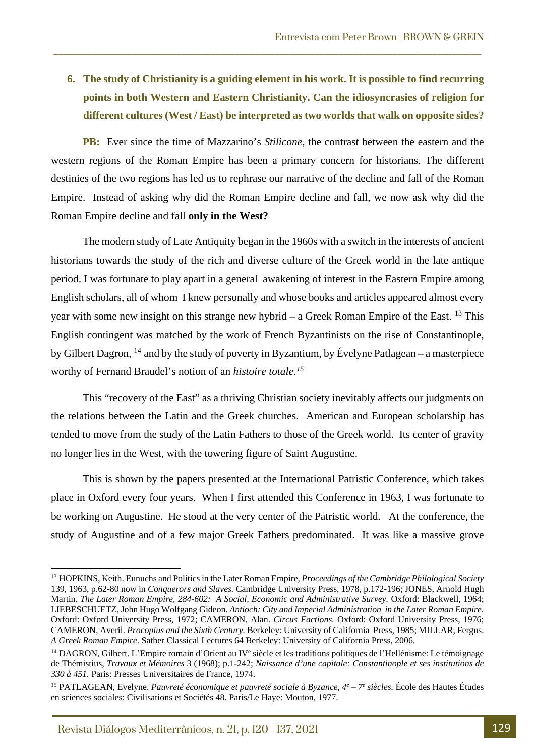### **6. The study of Christianity is a guiding element in his work. It is possible to find recurring points in both Western and Eastern Christianity. Can the idiosyncrasies of religion for different cultures (West / East) be interpreted as two worlds that walk on opposite sides?**

\_\_\_\_\_\_\_\_\_\_\_\_\_\_\_\_\_\_\_\_\_\_\_\_\_\_\_\_\_\_\_\_\_\_\_\_\_\_\_\_\_\_\_\_\_\_\_\_\_\_\_\_\_\_\_\_\_\_\_\_\_\_\_\_\_\_\_\_\_\_\_\_\_\_\_\_\_\_\_\_\_\_\_\_\_\_\_

**PB:** Ever since the time of Mazzarino's *Stilicone,* the contrast between the eastern and the western regions of the Roman Empire has been a primary concern for historians. The different destinies of the two regions has led us to rephrase our narrative of the decline and fall of the Roman Empire. Instead of asking why did the Roman Empire decline and fall, we now ask why did the Roman Empire decline and fall **only in the West?** 

The modern study of Late Antiquity began in the 1960s with a switch in the interests of ancient historians towards the study of the rich and diverse culture of the Greek world in the late antique period. I was fortunate to play apart in a general awakening of interest in the Eastern Empire among English scholars, all of whom I knew personally and whose books and articles appeared almost every year with some new insight on this strange new hybrid – a Greek Roman Empire of the East. <sup>[13](#page-9-0)</sup> This English contingent was matched by the work of French Byzantinists on the rise of Constantinople, by Gilbert Dagron, [14](#page-9-1) and by the study of poverty in Byzantium, by Évelyne Patlagean – a masterpiece worthy of Fernand Braudel's notion of an *histoire totale.[15](#page-9-2)*

This "recovery of the East" as a thriving Christian society inevitably affects our judgments on the relations between the Latin and the Greek churches. American and European scholarship has tended to move from the study of the Latin Fathers to those of the Greek world. Its center of gravity no longer lies in the West, with the towering figure of Saint Augustine.

This is shown by the papers presented at the International Patristic Conference, which takes place in Oxford every four years. When I first attended this Conference in 1963, I was fortunate to be working on Augustine. He stood at the very center of the Patristic world. At the conference, the study of Augustine and of a few major Greek Fathers predominated. It was like a massive grove

<span id="page-9-0"></span><sup>13</sup> HOPKINS, Keith. Eunuchs and Politics in the Later Roman Empire, *Proceedings of the Cambridge Philological Society*  139, 1963, p.62-80 now in *Conquerors and Slaves.* Cambridge University Press, 1978, p.172-196; JONES, Arnold Hugh Martin. *The Later Roman Empire, 284-602: A Social, Economic and Administrative Survey.* Oxford: Blackwell, 1964; LIEBESCHUETZ, John Hugo Wolfgang Gideon. *Antioch: City and Imperial Administration in the Later Roman Empire.*  Oxford: Oxford University Press, 1972; CAMERON, Alan. *Circus Factions.* Oxford: Oxford University Press, 1976; CAMERON, Averil. *Procopius and the Sixth Century.* Berkeley: University of California Press, 1985; MILLAR, Fergus. *A Greek Roman Empire*. Sather Classical Lectures 64 Berkeley: University of California Press, 2006.

<span id="page-9-1"></span><sup>&</sup>lt;sup>14</sup> DAGRON, Gilbert. L'Empire romain d'Orient au IV<sup>e</sup> siècle et les traditions politiques de l'Hellénisme: Le témoignage de Thémistius, *Travaux et Mémoires* 3 (1968); p.1-242; *Naissance d'une capitale: Constantinople et ses institutions de 330 à 451.* Paris: Presses Universitaires de France, 1974.

<span id="page-9-2"></span><sup>15</sup> PATLAGEAN, Evelyne. *Pauvreté économique et pauvreté sociale à Byzance, 4e – 7e siècles.* École des Hautes Études en sciences sociales: Civilisations et Sociétés 48. Paris/Le Haye: Mouton, 1977.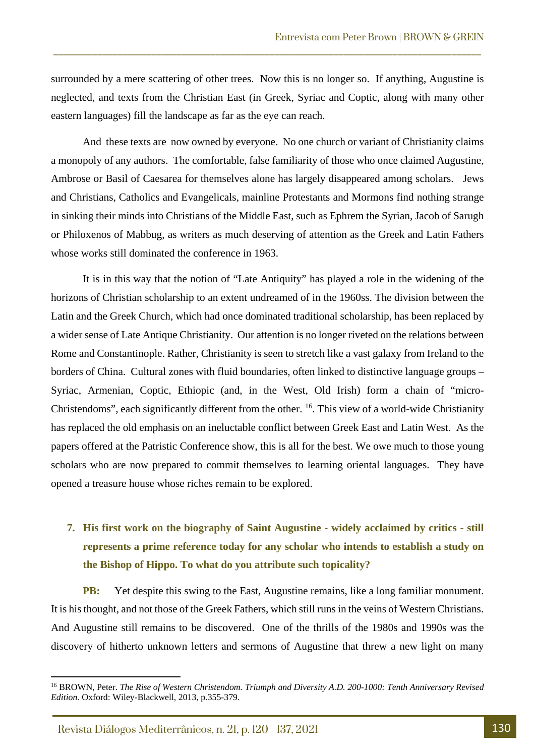surrounded by a mere scattering of other trees. Now this is no longer so. If anything, Augustine is neglected, and texts from the Christian East (in Greek, Syriac and Coptic, along with many other eastern languages) fill the landscape as far as the eye can reach.

\_\_\_\_\_\_\_\_\_\_\_\_\_\_\_\_\_\_\_\_\_\_\_\_\_\_\_\_\_\_\_\_\_\_\_\_\_\_\_\_\_\_\_\_\_\_\_\_\_\_\_\_\_\_\_\_\_\_\_\_\_\_\_\_\_\_\_\_\_\_\_\_\_\_\_\_\_\_\_\_\_\_\_\_\_\_\_

And these texts are now owned by everyone. No one church or variant of Christianity claims a monopoly of any authors. The comfortable, false familiarity of those who once claimed Augustine, Ambrose or Basil of Caesarea for themselves alone has largely disappeared among scholars. Jews and Christians, Catholics and Evangelicals, mainline Protestants and Mormons find nothing strange in sinking their minds into Christians of the Middle East, such as Ephrem the Syrian, Jacob of Sarugh or Philoxenos of Mabbug, as writers as much deserving of attention as the Greek and Latin Fathers whose works still dominated the conference in 1963.

It is in this way that the notion of "Late Antiquity" has played a role in the widening of the horizons of Christian scholarship to an extent undreamed of in the 1960ss. The division between the Latin and the Greek Church, which had once dominated traditional scholarship, has been replaced by a wider sense of Late Antique Christianity. Our attention is no longer riveted on the relations between Rome and Constantinople. Rather, Christianity is seen to stretch like a vast galaxy from Ireland to the borders of China. Cultural zones with fluid boundaries, often linked to distinctive language groups – Syriac, Armenian, Coptic, Ethiopic (and, in the West, Old Irish) form a chain of "micro-Christendoms", each significantly different from the other. [16.](#page-10-0) This view of a world-wide Christianity has replaced the old emphasis on an ineluctable conflict between Greek East and Latin West. As the papers offered at the Patristic Conference show, this is all for the best. We owe much to those young scholars who are now prepared to commit themselves to learning oriental languages. They have opened a treasure house whose riches remain to be explored.

### **7. His first work on the biography of Saint Augustine - widely acclaimed by critics - still represents a prime reference today for any scholar who intends to establish a study on the Bishop of Hippo. To what do you attribute such topicality?**

**PB:** Yet despite this swing to the East, Augustine remains, like a long familiar monument. It is his thought, and not those of the Greek Fathers, which still runs in the veins of Western Christians. And Augustine still remains to be discovered. One of the thrills of the 1980s and 1990s was the discovery of hitherto unknown letters and sermons of Augustine that threw a new light on many

<span id="page-10-0"></span><sup>16</sup> BROWN, Peter. *The Rise of Western Christendom. Triumph and Diversity A.D. 200-1000: Tenth Anniversary Revised Edition.* Oxford: Wiley-Blackwell, 2013, p.355-379.

Revista Diálogos Mediterrânicos, n. 21, p. 120 - 137, 2021 130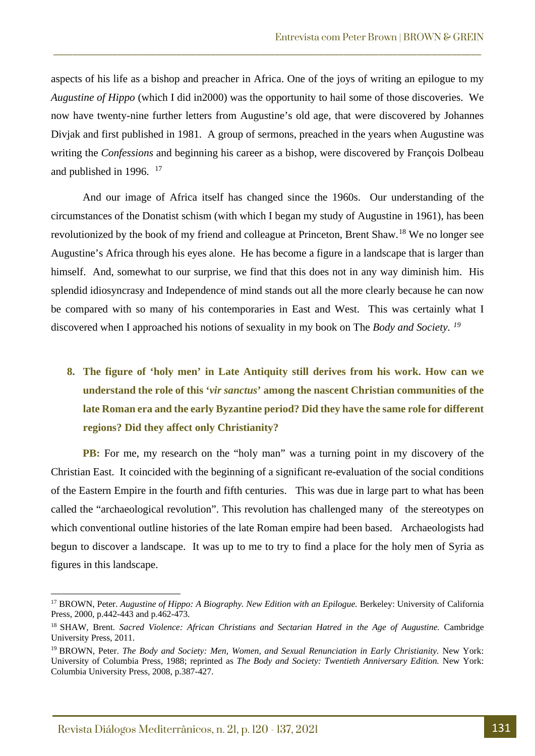aspects of his life as a bishop and preacher in Africa. One of the joys of writing an epilogue to my *Augustine of Hippo* (which I did in2000) was the opportunity to hail some of those discoveries. We now have twenty-nine further letters from Augustine's old age, that were discovered by Johannes Divjak and first published in 1981. A group of sermons, preached in the years when Augustine was writing the *Confessions* and beginning his career as a bishop, were discovered by François Dolbeau and published in 1996. [17](#page-11-0)

\_\_\_\_\_\_\_\_\_\_\_\_\_\_\_\_\_\_\_\_\_\_\_\_\_\_\_\_\_\_\_\_\_\_\_\_\_\_\_\_\_\_\_\_\_\_\_\_\_\_\_\_\_\_\_\_\_\_\_\_\_\_\_\_\_\_\_\_\_\_\_\_\_\_\_\_\_\_\_\_\_\_\_\_\_\_\_

And our image of Africa itself has changed since the 1960s. Our understanding of the circumstances of the Donatist schism (with which I began my study of Augustine in 1961), has been revolutionized by the book of my friend and colleague at Princeton, Brent Shaw.[18](#page-11-1) We no longer see Augustine's Africa through his eyes alone. He has become a figure in a landscape that is larger than himself. And, somewhat to our surprise, we find that this does not in any way diminish him. His splendid idiosyncrasy and Independence of mind stands out all the more clearly because he can now be compared with so many of his contemporaries in East and West. This was certainly what I discovered when I approached his notions of sexuality in my book on The *Body and Society. [19](#page-11-2)*

## **8. The figure of 'holy men' in Late Antiquity still derives from his work. How can we understand the role of this '***vir sanctus***' among the nascent Christian communities of the late Roman era and the early Byzantine period? Did they have the same role for different regions? Did they affect only Christianity?**

**PB:** For me, my research on the "holy man" was a turning point in my discovery of the Christian East. It coincided with the beginning of a significant re-evaluation of the social conditions of the Eastern Empire in the fourth and fifth centuries. This was due in large part to what has been called the "archaeological revolution". This revolution has challenged many of the stereotypes on which conventional outline histories of the late Roman empire had been based. Archaeologists had begun to discover a landscape. It was up to me to try to find a place for the holy men of Syria as figures in this landscape.

<span id="page-11-0"></span><sup>&</sup>lt;sup>17</sup> BROWN, Peter. *Augustine of Hippo: A Biography. New Edition with an Epilogue. Berkeley: University of California* Press, 2000, p.442-443 and p.462-473.

<span id="page-11-1"></span><sup>18</sup> SHAW, Brent. *Sacred Violence: African Christians and Sectarian Hatred in the Age of Augustine.* Cambridge University Press, 2011.

<span id="page-11-2"></span><sup>19</sup> BROWN, Peter. *The Body and Society: Men, Women, and Sexual Renunciation in Early Christianity.* New York: University of Columbia Press, 1988; reprinted as *The Body and Society: Twentieth Anniversary Edition.* New York: Columbia University Press, 2008, p.387-427.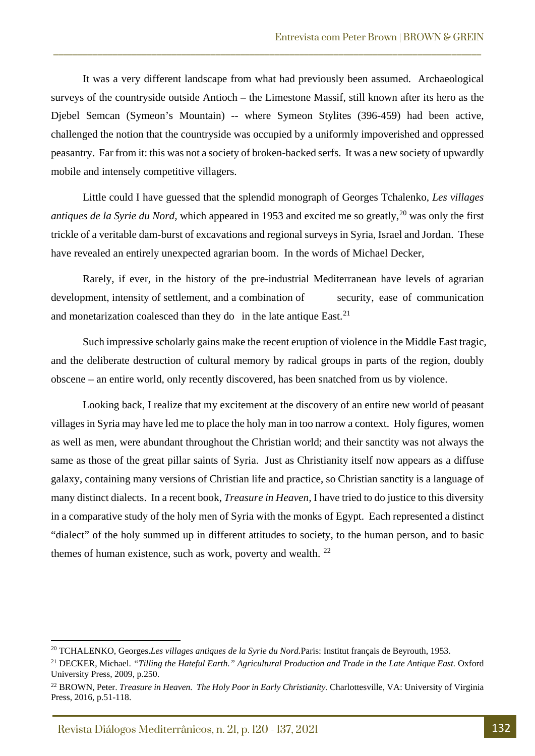It was a very different landscape from what had previously been assumed. Archaeological surveys of the countryside outside Antioch – the Limestone Massif, still known after its hero as the Djebel Semcan (Symeon's Mountain) -- where Symeon Stylites (396-459) had been active, challenged the notion that the countryside was occupied by a uniformly impoverished and oppressed peasantry. Far from it: this was not a society of broken-backed serfs. It was a new society of upwardly mobile and intensely competitive villagers.

\_\_\_\_\_\_\_\_\_\_\_\_\_\_\_\_\_\_\_\_\_\_\_\_\_\_\_\_\_\_\_\_\_\_\_\_\_\_\_\_\_\_\_\_\_\_\_\_\_\_\_\_\_\_\_\_\_\_\_\_\_\_\_\_\_\_\_\_\_\_\_\_\_\_\_\_\_\_\_\_\_\_\_\_\_\_\_

Little could I have guessed that the splendid monograph of Georges Tchalenko, *Les villages antiques de la Syrie du Nord*, which appeared in 1953 and excited me so greatly,<sup>[20](#page-12-0)</sup> was only the first trickle of a veritable dam-burst of excavations and regional surveys in Syria, Israel and Jordan. These have revealed an entirely unexpected agrarian boom. In the words of Michael Decker,

Rarely, if ever, in the history of the pre-industrial Mediterranean have levels of agrarian development, intensity of settlement, and a combination of security, ease of communication and monetarization coalesced than they do in the late antique East. $21$ 

Such impressive scholarly gains make the recent eruption of violence in the Middle East tragic, and the deliberate destruction of cultural memory by radical groups in parts of the region, doubly obscene – an entire world, only recently discovered, has been snatched from us by violence.

Looking back, I realize that my excitement at the discovery of an entire new world of peasant villages in Syria may have led me to place the holy man in too narrow a context. Holy figures, women as well as men, were abundant throughout the Christian world; and their sanctity was not always the same as those of the great pillar saints of Syria. Just as Christianity itself now appears as a diffuse galaxy, containing many versions of Christian life and practice, so Christian sanctity is a language of many distinct dialects. In a recent book, *Treasure in Heaven,* I have tried to do justice to this diversity in a comparative study of the holy men of Syria with the monks of Egypt. Each represented a distinct "dialect" of the holy summed up in different attitudes to society, to the human person, and to basic themes of human existence, such as work, poverty and wealth.  $22$ 

<span id="page-12-0"></span><sup>20</sup> TCHALENKO, Georges.*Les villages antiques de la Syrie du Nord.*Paris: Institut français de Beyrouth, 1953.

<span id="page-12-1"></span><sup>21</sup> DECKER, Michael. *"Tilling the Hateful Earth." Agricultural Production and Trade in the Late Antique East.* Oxford University Press, 2009, p.250.

<span id="page-12-2"></span><sup>&</sup>lt;sup>22</sup> BROWN, Peter. *Treasure in Heaven. The Holy Poor in Early Christianity*. Charlottesville, VA: University of Virginia Press, 2016, p.51-118.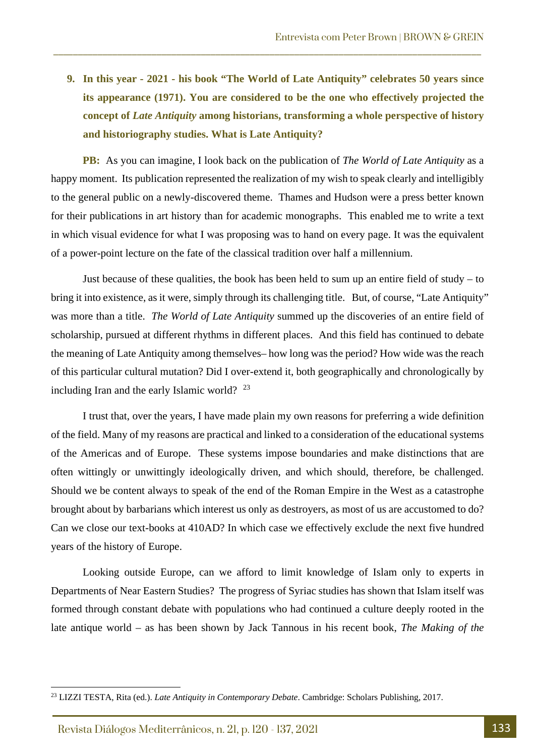**9. In this year - 2021 - his book "The World of Late Antiquity" celebrates 50 years since its appearance (1971). You are considered to be the one who effectively projected the concept of** *Late Antiquity* **among historians, transforming a whole perspective of history and historiography studies. What is Late Antiquity?**

\_\_\_\_\_\_\_\_\_\_\_\_\_\_\_\_\_\_\_\_\_\_\_\_\_\_\_\_\_\_\_\_\_\_\_\_\_\_\_\_\_\_\_\_\_\_\_\_\_\_\_\_\_\_\_\_\_\_\_\_\_\_\_\_\_\_\_\_\_\_\_\_\_\_\_\_\_\_\_\_\_\_\_\_\_\_\_

**PB:** As you can imagine, I look back on the publication of *The World of Late Antiquity* as a happy moment. Its publication represented the realization of my wish to speak clearly and intelligibly to the general public on a newly-discovered theme. Thames and Hudson were a press better known for their publications in art history than for academic monographs. This enabled me to write a text in which visual evidence for what I was proposing was to hand on every page. It was the equivalent of a power-point lecture on the fate of the classical tradition over half a millennium.

Just because of these qualities, the book has been held to sum up an entire field of study – to bring it into existence, as it were, simply through its challenging title. But, of course, "Late Antiquity" was more than a title. *The World of Late Antiquity* summed up the discoveries of an entire field of scholarship, pursued at different rhythms in different places. And this field has continued to debate the meaning of Late Antiquity among themselves– how long was the period? How wide was the reach of this particular cultural mutation? Did I over-extend it, both geographically and chronologically by including Iran and the early Islamic world? [23](#page-13-0)

I trust that, over the years, I have made plain my own reasons for preferring a wide definition of the field. Many of my reasons are practical and linked to a consideration of the educational systems of the Americas and of Europe. These systems impose boundaries and make distinctions that are often wittingly or unwittingly ideologically driven, and which should, therefore, be challenged. Should we be content always to speak of the end of the Roman Empire in the West as a catastrophe brought about by barbarians which interest us only as destroyers, as most of us are accustomed to do? Can we close our text-books at 410AD? In which case we effectively exclude the next five hundred years of the history of Europe.

Looking outside Europe, can we afford to limit knowledge of Islam only to experts in Departments of Near Eastern Studies? The progress of Syriac studies has shown that Islam itself was formed through constant debate with populations who had continued a culture deeply rooted in the late antique world – as has been shown by Jack Tannous in his recent book, *The Making of the* 

Revista Diálogos Mediterrânicos, n. 21, p. 120 - 137, 2021 133

<span id="page-13-0"></span><sup>23</sup> LIZZI TESTA, Rita (ed.). *Late Antiquity in Contemporary Debate*. Cambridge: Scholars Publishing, 2017.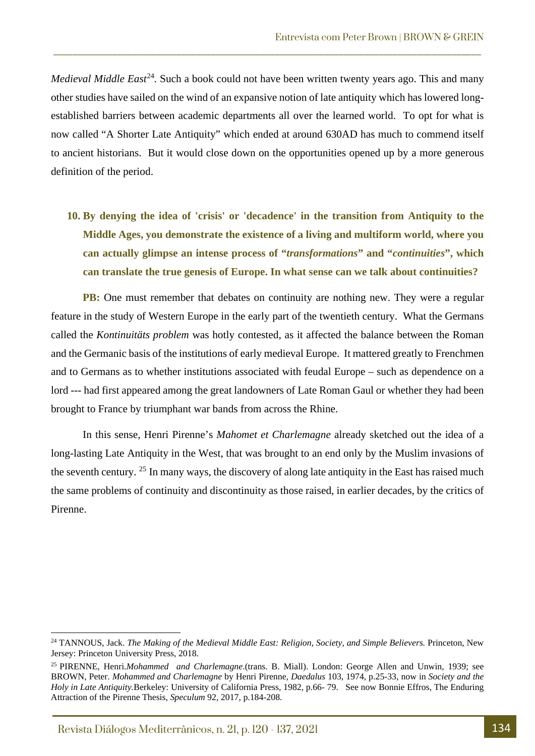*Medieval Middle East*<sup>[24](#page-14-0)</sup>. Such a book could not have been written twenty years ago. This and many other studies have sailed on the wind of an expansive notion of late antiquity which has lowered longestablished barriers between academic departments all over the learned world. To opt for what is now called "A Shorter Late Antiquity" which ended at around 630AD has much to commend itself to ancient historians. But it would close down on the opportunities opened up by a more generous definition of the period.

\_\_\_\_\_\_\_\_\_\_\_\_\_\_\_\_\_\_\_\_\_\_\_\_\_\_\_\_\_\_\_\_\_\_\_\_\_\_\_\_\_\_\_\_\_\_\_\_\_\_\_\_\_\_\_\_\_\_\_\_\_\_\_\_\_\_\_\_\_\_\_\_\_\_\_\_\_\_\_\_\_\_\_\_\_\_\_

**10. By denying the idea of 'crisis' or 'decadence' in the transition from Antiquity to the Middle Ages, you demonstrate the existence of a living and multiform world, where you can actually glimpse an intense process of "***transformations***" and "***continuities***", which can translate the true genesis of Europe. In what sense can we talk about continuities?**

**PB:** One must remember that debates on continuity are nothing new. They were a regular feature in the study of Western Europe in the early part of the twentieth century. What the Germans called the *Kontinuitäts problem* was hotly contested*,* as it affected the balance between the Roman and the Germanic basis of the institutions of early medieval Europe. It mattered greatly to Frenchmen and to Germans as to whether institutions associated with feudal Europe – such as dependence on a lord --- had first appeared among the great landowners of Late Roman Gaul or whether they had been brought to France by triumphant war bands from across the Rhine.

In this sense, Henri Pirenne's *Mahomet et Charlemagne* already sketched out the idea of a long-lasting Late Antiquity in the West, that was brought to an end only by the Muslim invasions of the seventh century. [25](#page-14-1) In many ways, the discovery of along late antiquity in the East has raised much the same problems of continuity and discontinuity as those raised, in earlier decades, by the critics of Pirenne.

<span id="page-14-0"></span><sup>&</sup>lt;sup>24</sup> TANNOUS, Jack. *The Making of the Medieval Middle East: Religion, Society, and Simple Believers*. Princeton, New Jersey: Princeton University Press, 2018.

<span id="page-14-1"></span><sup>25</sup> PIRENNE, Henri.*Mohammed and Charlemagne*.(trans. B. Miall). London: George Allen and Unwin, 1939; see BROWN, Peter. *Mohammed and Charlemagne* by Henri Pirenne, *Daedalus* 103, 1974, p.25-33, now in *Society and the Holy in Late Antiquity.*Berkeley: University of California Press, 1982, p.66- 79. See now Bonnie Effros, The Enduring Attraction of the Pirenne Thesis, *Speculum* 92, 2017, p.184-208.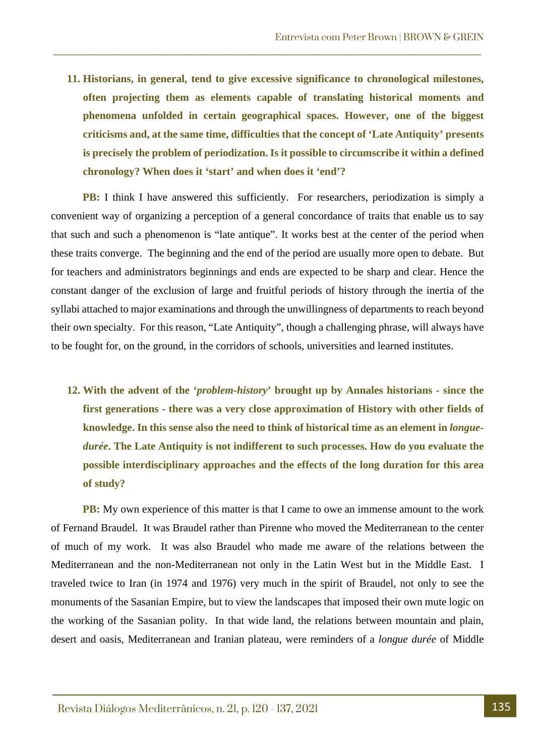**11. Historians, in general, tend to give excessive significance to chronological milestones, often projecting them as elements capable of translating historical moments and phenomena unfolded in certain geographical spaces. However, one of the biggest criticisms and, at the same time, difficulties that the concept of 'Late Antiquity' presents is precisely the problem of periodization. Is it possible to circumscribe it within a defined chronology? When does it 'start' and when does it 'end'?**

\_\_\_\_\_\_\_\_\_\_\_\_\_\_\_\_\_\_\_\_\_\_\_\_\_\_\_\_\_\_\_\_\_\_\_\_\_\_\_\_\_\_\_\_\_\_\_\_\_\_\_\_\_\_\_\_\_\_\_\_\_\_\_\_\_\_\_\_\_\_\_\_\_\_\_\_\_\_\_\_\_\_\_\_\_\_\_

**PB:** I think I have answered this sufficiently. For researchers, periodization is simply a convenient way of organizing a perception of a general concordance of traits that enable us to say that such and such a phenomenon is "late antique". It works best at the center of the period when these traits converge. The beginning and the end of the period are usually more open to debate. But for teachers and administrators beginnings and ends are expected to be sharp and clear. Hence the constant danger of the exclusion of large and fruitful periods of history through the inertia of the syllabi attached to major examinations and through the unwillingness of departments to reach beyond their own specialty. For this reason, "Late Antiquity", though a challenging phrase, will always have to be fought for, on the ground, in the corridors of schools, universities and learned institutes.

**12. With the advent of the '***problem-history***' brought up by Annales historians - since the first generations - there was a very close approximation of History with other fields of knowledge. In this sense also the need to think of historical time as an element in** *longuedurée***. The Late Antiquity is not indifferent to such processes. How do you evaluate the possible interdisciplinary approaches and the effects of the long duration for this area of study?**

**PB:** My own experience of this matter is that I came to owe an immense amount to the work of Fernand Braudel. It was Braudel rather than Pirenne who moved the Mediterranean to the center of much of my work. It was also Braudel who made me aware of the relations between the Mediterranean and the non-Mediterranean not only in the Latin West but in the Middle East. I traveled twice to Iran (in 1974 and 1976) very much in the spirit of Braudel, not only to see the monuments of the Sasanian Empire, but to view the landscapes that imposed their own mute logic on the working of the Sasanian polity. In that wide land, the relations between mountain and plain, desert and oasis, Mediterranean and Iranian plateau, were reminders of a *longue durée* of Middle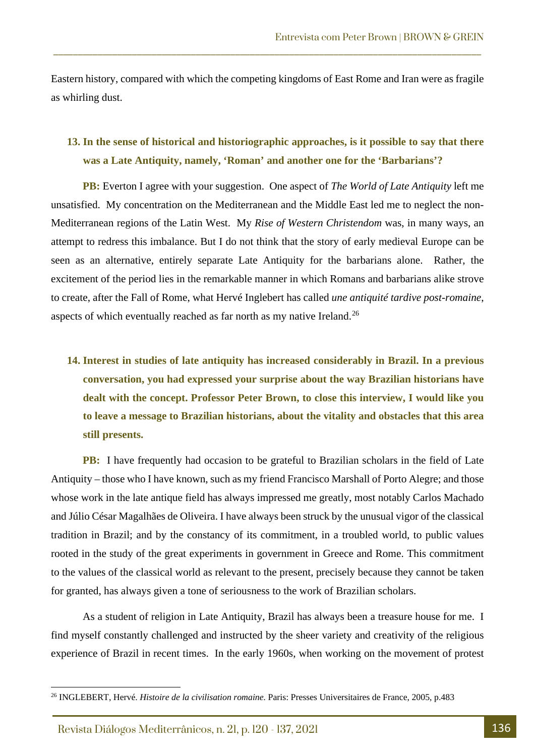Eastern history, compared with which the competing kingdoms of East Rome and Iran were as fragile as whirling dust.

\_\_\_\_\_\_\_\_\_\_\_\_\_\_\_\_\_\_\_\_\_\_\_\_\_\_\_\_\_\_\_\_\_\_\_\_\_\_\_\_\_\_\_\_\_\_\_\_\_\_\_\_\_\_\_\_\_\_\_\_\_\_\_\_\_\_\_\_\_\_\_\_\_\_\_\_\_\_\_\_\_\_\_\_\_\_\_

#### **13. In the sense of historical and historiographic approaches, is it possible to say that there was a Late Antiquity, namely, 'Roman' and another one for the 'Barbarians'?**

**PB:** Everton I agree with your suggestion. One aspect of *The World of Late Antiquity* left me unsatisfied. My concentration on the Mediterranean and the Middle East led me to neglect the non-Mediterranean regions of the Latin West. My *Rise of Western Christendom* was, in many ways, an attempt to redress this imbalance. But I do not think that the story of early medieval Europe can be seen as an alternative, entirely separate Late Antiquity for the barbarians alone. Rather, the excitement of the period lies in the remarkable manner in which Romans and barbarians alike strove to create, after the Fall of Rome, what Hervé Inglebert has called *une antiquité tardive post-romaine*, aspects of which eventually reached as far north as my native Ireland.<sup>[26](#page-16-0)</sup>

**14. Interest in studies of late antiquity has increased considerably in Brazil. In a previous conversation, you had expressed your surprise about the way Brazilian historians have dealt with the concept. Professor Peter Brown, to close this interview, I would like you to leave a message to Brazilian historians, about the vitality and obstacles that this area still presents.**

**PB:** I have frequently had occasion to be grateful to Brazilian scholars in the field of Late Antiquity – those who I have known, such as my friend Francisco Marshall of Porto Alegre; and those whose work in the late antique field has always impressed me greatly, most notably Carlos Machado and Júlio César Magalhães de Oliveira. I have always been struck by the unusual vigor of the classical tradition in Brazil; and by the constancy of its commitment, in a troubled world, to public values rooted in the study of the great experiments in government in Greece and Rome. This commitment to the values of the classical world as relevant to the present, precisely because they cannot be taken for granted, has always given a tone of seriousness to the work of Brazilian scholars.

As a student of religion in Late Antiquity, Brazil has always been a treasure house for me. I find myself constantly challenged and instructed by the sheer variety and creativity of the religious experience of Brazil in recent times. In the early 1960s, when working on the movement of protest

Revista Diálogos Mediterrânicos, n. 21, p. 120 - 137, 2021 136

<span id="page-16-0"></span><sup>26</sup> INGLEBERT, Hervé. *Histoire de la civilisation romaine.* Paris: Presses Universitaires de France, 2005, p.483